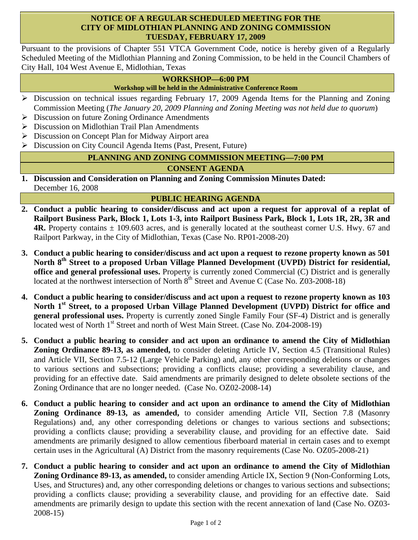### **NOTICE OF A REGULAR SCHEDULED MEETING FOR THE CITY OF MIDLOTHIAN PLANNING AND ZONING COMMISSION TUESDAY, FEBRUARY 17, 2009**

Pursuant to the provisions of Chapter 551 VTCA Government Code, notice is hereby given of a Regularly Scheduled Meeting of the Midlothian Planning and Zoning Commission, to be held in the Council Chambers of City Hall, 104 West Avenue E, Midlothian, Texas

# **WORKSHOP—6:00 PM**

**Workshop will be held in the Administrative Conference Room** 

- ¾ Discussion on technical issues regarding February 17, 2009 Agenda Items for the Planning and Zoning Commission Meeting (*The January 20, 2009 Planning and Zoning Meeting was not held due to quorum*)
- ¾ Discussion on future Zoning Ordinance Amendments
- ¾ Discussion on Midlothian Trail Plan Amendments
- ¾ Discussion on Concept Plan for Midway Airport area
- ¾ Discussion on City Council Agenda Items (Past, Present, Future)

# **PLANNING AND ZONING COMMISSION MEETING—7:00 PM**

### **CONSENT AGENDA**

**1. Discussion and Consideration on Planning and Zoning Commission Minutes Dated:**  December 16, 2008

# **PUBLIC HEARING AGENDA**

- **2. Conduct a public hearing to consider/discuss and act upon a request for approval of a replat of Railport Business Park, Block 1, Lots 1-3, into Railport Business Park, Block 1, Lots 1R, 2R, 3R and 4R.** Property contains  $\pm$  109.603 acres, and is generally located at the southeast corner U.S. Hwy. 67 and Railport Parkway, in the City of Midlothian, Texas (Case No. RP01-2008-20)
- **3. Conduct a public hearing to consider/discuss and act upon a request to rezone property known as 501 North 8th Street to a proposed Urban Village Planned Development (UVPD) District for residential, office and general professional uses.** Property is currently zoned Commercial (C) District and is generally located at the northwest intersection of North  $8<sup>th</sup>$  Street and Avenue C (Case No. Z03-2008-18)
- **4. Conduct a public hearing to consider/discuss and act upon a request to rezone property known as 103 North 1st Street, to a proposed Urban Village Planned Development (UVPD) District for office and general professional uses.** Property is currently zoned Single Family Four (SF-4) District and is generally located west of North 1<sup>st</sup> Street and north of West Main Street. (Case No. Z04-2008-19)
- **5. Conduct a public hearing to consider and act upon an ordinance to amend the City of Midlothian Zoning Ordinance 89-13, as amended,** to consider deleting Article IV, Section 4.5 (Transitional Rules) and Article VII, Section 7.5-12 (Large Vehicle Parking) and, any other corresponding deletions or changes to various sections and subsections; providing a conflicts clause; providing a severability clause, and providing for an effective date. Said amendments are primarily designed to delete obsolete sections of the Zoning Ordinance that are no longer needed. (Case No. OZ02-2008-14)
- **6. Conduct a public hearing to consider and act upon an ordinance to amend the City of Midlothian Zoning Ordinance 89-13, as amended,** to consider amending Article VII, Section 7.8 (Masonry Regulations) and, any other corresponding deletions or changes to various sections and subsections; providing a conflicts clause; providing a severability clause, and providing for an effective date. Said amendments are primarily designed to allow cementious fiberboard material in certain cases and to exempt certain uses in the Agricultural (A) District from the masonry requirements (Case No. OZ05-2008-21)
- **7. Conduct a public hearing to consider and act upon an ordinance to amend the City of Midlothian Zoning Ordinance 89-13, as amended,** to consider amending Article IX, Section 9 (Non-Conforming Lots, Uses, and Structures) and, any other corresponding deletions or changes to various sections and subsections; providing a conflicts clause; providing a severability clause, and providing for an effective date. Said amendments are primarily design to update this section with the recent annexation of land (Case No. OZ03- 2008-15)